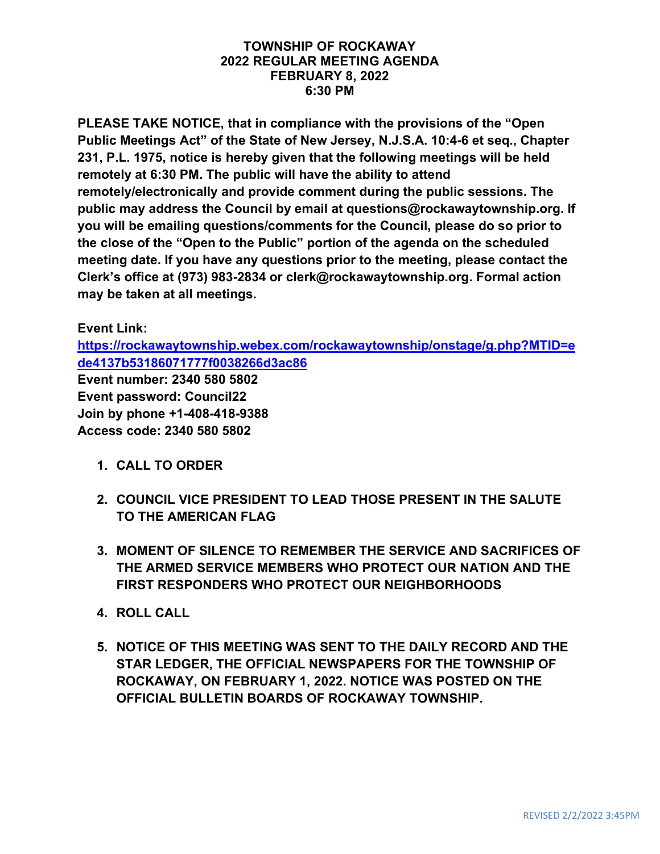#### **TOWNSHIP OF ROCKAWAY 2022 REGULAR MEETING AGENDA FEBRUARY 8, 2022 6:30 PM**

**PLEASE TAKE NOTICE, that in compliance with the provisions of the "Open Public Meetings Act" of the State of New Jersey, N.J.S.A. 10:4-6 et seq., Chapter 231, P.L. 1975, notice is hereby given that the following meetings will be held remotely at 6:30 PM. The public will have the ability to attend remotely/electronically and provide comment during the public sessions. The public may address the Council by email at questions@rockawaytownship.org. If you will be emailing questions/comments for the Council, please do so prior to the close of the "Open to the Public" portion of the agenda on the scheduled meeting date. If you have any questions prior to the meeting, please contact the Clerk's office at (973) 983-2834 or clerk@rockawaytownship.org. Formal action may be taken at all meetings.**

### **Event Link:**

**[https://rockawaytownship.webex.com/rockawaytownship/onstage/g.php?MTID=e](https://rockawaytownship.webex.com/rockawaytownship/onstage/g.php?MTID=ede4137b53186071777f0038266d3ac86) [de4137b53186071777f0038266d3ac86](https://rockawaytownship.webex.com/rockawaytownship/onstage/g.php?MTID=ede4137b53186071777f0038266d3ac86)**

**Event number: 2340 580 5802 Event password: Council22 Join by phone +1-408-418-9388 Access code: 2340 580 5802**

- **1. CALL TO ORDER**
- **2. COUNCIL VICE PRESIDENT TO LEAD THOSE PRESENT IN THE SALUTE TO THE AMERICAN FLAG**
- **3. MOMENT OF SILENCE TO REMEMBER THE SERVICE AND SACRIFICES OF THE ARMED SERVICE MEMBERS WHO PROTECT OUR NATION AND THE FIRST RESPONDERS WHO PROTECT OUR NEIGHBORHOODS**
- **4. ROLL CALL**
- **5. NOTICE OF THIS MEETING WAS SENT TO THE DAILY RECORD AND THE STAR LEDGER, THE OFFICIAL NEWSPAPERS FOR THE TOWNSHIP OF ROCKAWAY, ON FEBRUARY 1, 2022. NOTICE WAS POSTED ON THE OFFICIAL BULLETIN BOARDS OF ROCKAWAY TOWNSHIP.**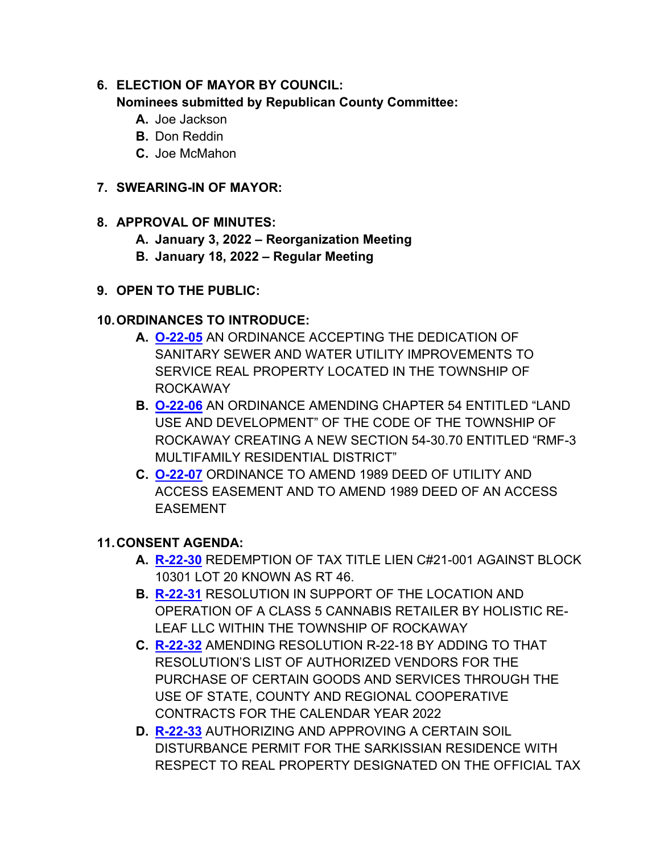### **6. ELECTION OF MAYOR BY COUNCIL: Nominees submitted by Republican County Committee:**

- **A.** Joe Jackson
- **B.** Don Reddin
- **C.** Joe McMahon

## **7. SWEARING-IN OF MAYOR:**

## **8. APPROVAL OF MINUTES:**

- **A. January 3, 2022 – Reorganization Meeting**
- **B. January 18, 2022 – Regular Meeting**
- **9. OPEN TO THE PUBLIC:**

## **10.ORDINANCES TO INTRODUCE:**

- **A. [O-22-05](https://www.rockawaytownship.org/DocumentCenter/View/8127/O-22-05-01-31-22-Sewer-and-Water-Dedication-Ordinance-002)** AN ORDINANCE ACCEPTING THE DEDICATION OF SANITARY SEWER AND WATER UTILITY IMPROVEMENTS TO SERVICE REAL PROPERTY LOCATED IN THE TOWNSHIP OF ROCKAWAY
- **B. [O-22-06](https://www.rockawaytownship.org/DocumentCenter/View/8128/O-22-06-ORDINANCE-CREATING-A-NEW-SECTION-54-3070-ENTITLED-RMF-3-MULTIFAMILY-RESIDENTIAL-DISTRICT)** AN ORDINANCE AMENDING CHAPTER 54 ENTITLED "LAND USE AND DEVELOPMENT" OF THE CODE OF THE TOWNSHIP OF ROCKAWAY CREATING A NEW SECTION 54-30.70 ENTITLED "RMF-3 MULTIFAMILY RESIDENTIAL DISTRICT"
- **C. [O-22-07](https://www.rockawaytownship.org/DocumentCenter/View/8137/O-22-07-Amending-1080-Deed-of-Utility-and-Access-Easement-and-to-amend-a-1989-Deed-of-an-access-easement-for-22401---306-RK-Commons)** ORDINANCE TO AMEND 1989 DEED OF UTILITY AND ACCESS EASEMENT AND TO AMEND 1989 DEED OF AN ACCESS EASEMENT

# **11.CONSENT AGENDA:**

- **A. [R-22-30](https://www.rockawaytownship.org/DocumentCenter/View/8121/R-22-30-10301-20)** REDEMPTION OF TAX TITLE LIEN C#21-001 AGAINST BLOCK 10301 LOT 20 KNOWN AS RT 46.
- **B. [R-22-31](https://www.rockawaytownship.org/DocumentCenter/View/8122/R-22-31-01-31-22-Holistic-Re-Leaf_Resolution_of_Local_Support---DN-Notes)** RESOLUTION IN SUPPORT OF THE LOCATION AND OPERATION OF A CLASS 5 CANNABIS RETAILER BY HOLISTIC RE-LEAF LLC WITHIN THE TOWNSHIP OF ROCKAWAY
- **C. [R-22-32](https://www.rockawaytownship.org/DocumentCenter/View/8123/R-22-32-Resolution-amending-R-22-18-state-county-regional-cooperative-contracts-for-2022)** AMENDING RESOLUTION R-22-18 BY ADDING TO THAT RESOLUTION'S LIST OF AUTHORIZED VENDORS FOR THE PURCHASE OF CERTAIN GOODS AND SERVICES THROUGH THE USE OF STATE, COUNTY AND REGIONAL COOPERATIVE CONTRACTS FOR THE CALENDAR YEAR 2022
- **D. [R-22-33](https://www.rockawaytownship.org/DocumentCenter/View/8126/R-22-33-Soil-Disturbance-42-Shawnee-Ave)** AUTHORIZING AND APPROVING A CERTAIN SOIL DISTURBANCE PERMIT FOR THE SARKISSIAN RESIDENCE WITH RESPECT TO REAL PROPERTY DESIGNATED ON THE OFFICIAL TAX